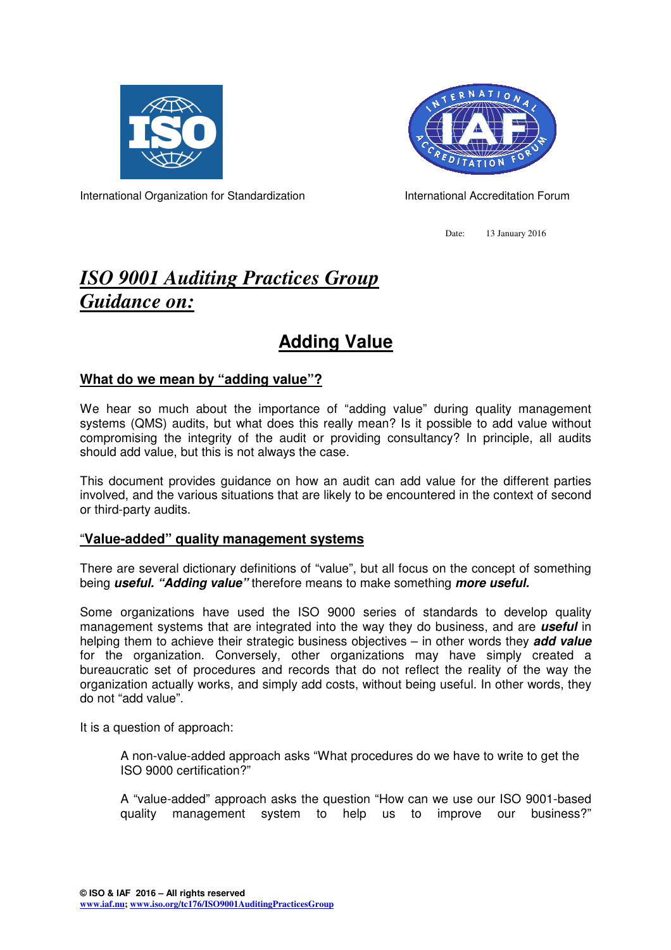



International Organization for Standardization International Accreditation Forum

Date: 13 January 2016

# *ISO 9001 Auditing Practices Group Guidance on:*

# **Adding Value**

# **What do we mean by "adding value"?**

We hear so much about the importance of "adding value" during quality management systems (QMS) audits, but what does this really mean? Is it possible to add value without compromising the integrity of the audit or providing consultancy? In principle, all audits should add value, but this is not always the case.

This document provides guidance on how an audit can add value for the different parties involved, and the various situations that are likely to be encountered in the context of second or third-party audits.

# "**Value-added" quality management systems**

There are several dictionary definitions of "value", but all focus on the concept of something being **useful. "Adding value"** therefore means to make something **more useful.**

Some organizations have used the ISO 9000 series of standards to develop quality management systems that are integrated into the way they do business, and are **useful** in helping them to achieve their strategic business objectives – in other words they **add value** for the organization. Conversely, other organizations may have simply created a bureaucratic set of procedures and records that do not reflect the reality of the way the organization actually works, and simply add costs, without being useful. In other words, they do not "add value".

It is a question of approach:

A non-value-added approach asks "What procedures do we have to write to get the ISO 9000 certification?"

A "value-added" approach asks the question "How can we use our ISO 9001-based quality management system to help us to improve our business?"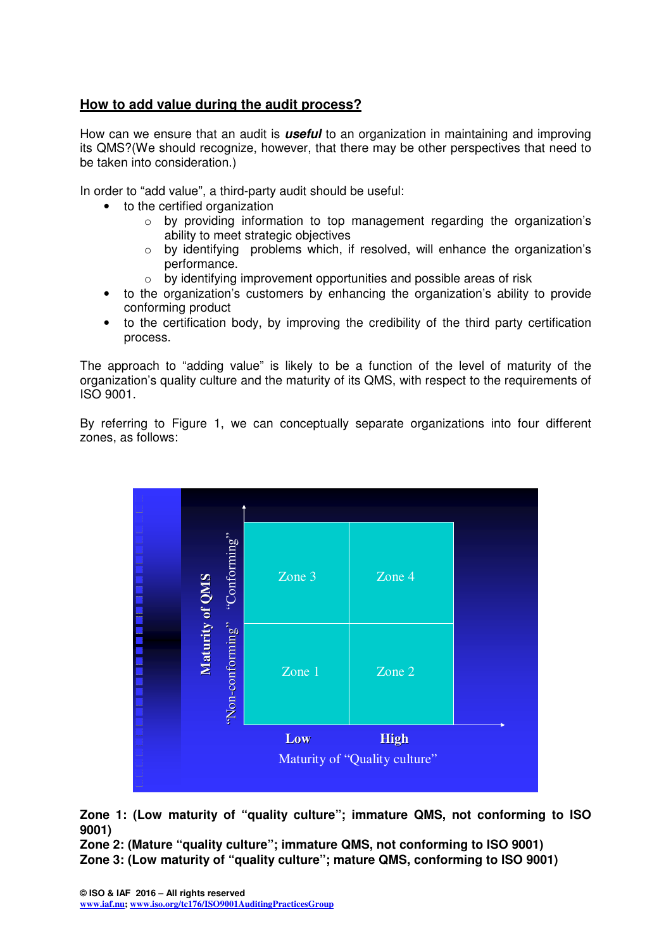# **How to add value during the audit process?**

How can we ensure that an audit is **useful** to an organization in maintaining and improving its QMS?(We should recognize, however, that there may be other perspectives that need to be taken into consideration.)

In order to "add value", a third-party audit should be useful:

- to the certified organization
	- o by providing information to top management regarding the organization's ability to meet strategic objectives
	- $\circ$  by identifying problems which, if resolved, will enhance the organization's performance.
	- o by identifying improvement opportunities and possible areas of risk
- to the organization's customers by enhancing the organization's ability to provide conforming product
- to the certification body, by improving the credibility of the third party certification process.

The approach to "adding value" is likely to be a function of the level of maturity of the organization's quality culture and the maturity of its QMS, with respect to the requirements of ISO 9001.

By referring to Figure 1, we can conceptually separate organizations into four different zones, as follows:



**Zone 1: (Low maturity of "quality culture"; immature QMS, not conforming to ISO 9001)** 

**Zone 2: (Mature "quality culture"; immature QMS, not conforming to ISO 9001) Zone 3: (Low maturity of "quality culture"; mature QMS, conforming to ISO 9001)**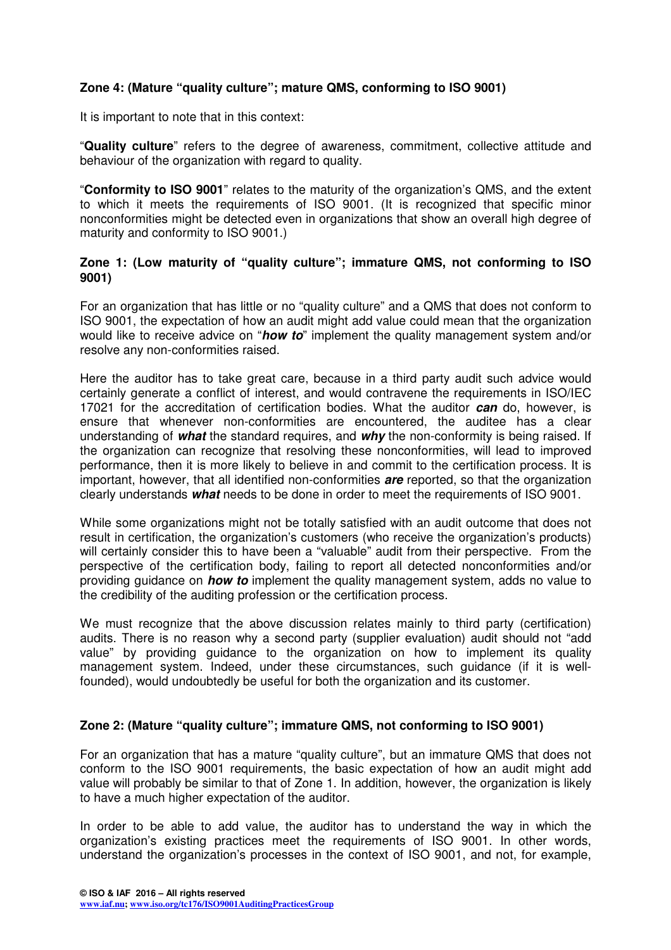## **Zone 4: (Mature "quality culture"; mature QMS, conforming to ISO 9001)**

It is important to note that in this context:

"**Quality culture**" refers to the degree of awareness, commitment, collective attitude and behaviour of the organization with regard to quality.

"**Conformity to ISO 9001**" relates to the maturity of the organization's QMS, and the extent to which it meets the requirements of ISO 9001. (It is recognized that specific minor nonconformities might be detected even in organizations that show an overall high degree of maturity and conformity to ISO 9001.)

#### **Zone 1: (Low maturity of "quality culture"; immature QMS, not conforming to ISO 9001)**

For an organization that has little or no "quality culture" and a QMS that does not conform to ISO 9001, the expectation of how an audit might add value could mean that the organization would like to receive advice on "**how to**" implement the quality management system and/or resolve any non-conformities raised.

Here the auditor has to take great care, because in a third party audit such advice would certainly generate a conflict of interest, and would contravene the requirements in ISO/IEC 17021 for the accreditation of certification bodies. What the auditor **can** do, however, is ensure that whenever non-conformities are encountered, the auditee has a clear understanding of **what** the standard requires, and **why** the non-conformity is being raised. If the organization can recognize that resolving these nonconformities, will lead to improved performance, then it is more likely to believe in and commit to the certification process. It is important, however, that all identified non-conformities **are** reported, so that the organization clearly understands **what** needs to be done in order to meet the requirements of ISO 9001.

While some organizations might not be totally satisfied with an audit outcome that does not result in certification, the organization's customers (who receive the organization's products) will certainly consider this to have been a "valuable" audit from their perspective. From the perspective of the certification body, failing to report all detected nonconformities and/or providing guidance on **how to** implement the quality management system, adds no value to the credibility of the auditing profession or the certification process.

We must recognize that the above discussion relates mainly to third party (certification) audits. There is no reason why a second party (supplier evaluation) audit should not "add value" by providing guidance to the organization on how to implement its quality management system. Indeed, under these circumstances, such guidance (if it is wellfounded), would undoubtedly be useful for both the organization and its customer.

#### **Zone 2: (Mature "quality culture"; immature QMS, not conforming to ISO 9001)**

For an organization that has a mature "quality culture", but an immature QMS that does not conform to the ISO 9001 requirements, the basic expectation of how an audit might add value will probably be similar to that of Zone 1. In addition, however, the organization is likely to have a much higher expectation of the auditor.

In order to be able to add value, the auditor has to understand the way in which the organization's existing practices meet the requirements of ISO 9001. In other words, understand the organization's processes in the context of ISO 9001, and not, for example,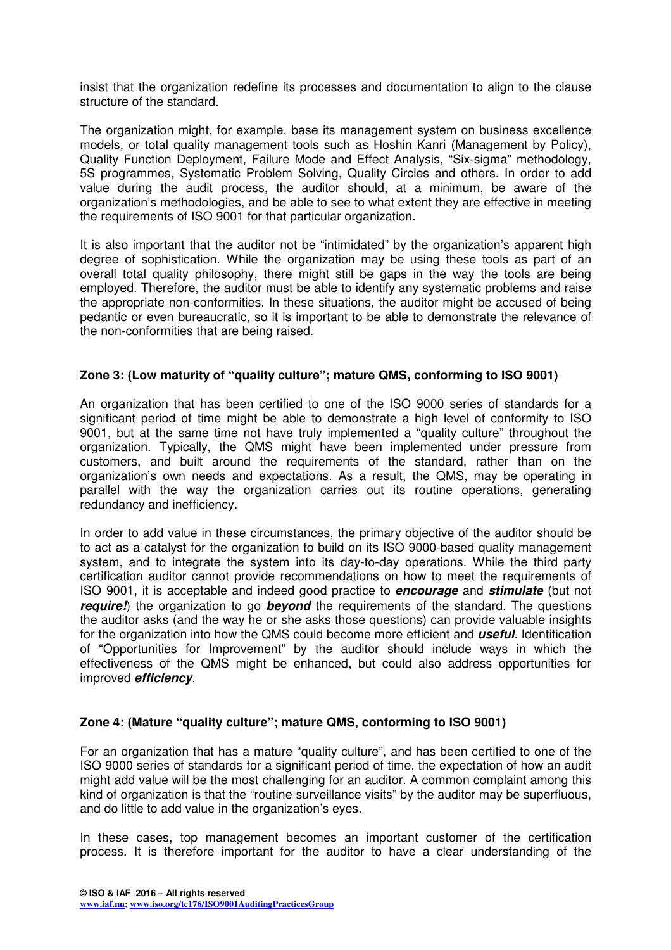insist that the organization redefine its processes and documentation to align to the clause structure of the standard.

The organization might, for example, base its management system on business excellence models, or total quality management tools such as Hoshin Kanri (Management by Policy), Quality Function Deployment, Failure Mode and Effect Analysis, "Six-sigma" methodology, 5S programmes, Systematic Problem Solving, Quality Circles and others. In order to add value during the audit process, the auditor should, at a minimum, be aware of the organization's methodologies, and be able to see to what extent they are effective in meeting the requirements of ISO 9001 for that particular organization.

It is also important that the auditor not be "intimidated" by the organization's apparent high degree of sophistication. While the organization may be using these tools as part of an overall total quality philosophy, there might still be gaps in the way the tools are being employed. Therefore, the auditor must be able to identify any systematic problems and raise the appropriate non-conformities. In these situations, the auditor might be accused of being pedantic or even bureaucratic, so it is important to be able to demonstrate the relevance of the non-conformities that are being raised.

## **Zone 3: (Low maturity of "quality culture"; mature QMS, conforming to ISO 9001)**

An organization that has been certified to one of the ISO 9000 series of standards for a significant period of time might be able to demonstrate a high level of conformity to ISO 9001, but at the same time not have truly implemented a "quality culture" throughout the organization. Typically, the QMS might have been implemented under pressure from customers, and built around the requirements of the standard, rather than on the organization's own needs and expectations. As a result, the QMS, may be operating in parallel with the way the organization carries out its routine operations, generating redundancy and inefficiency.

In order to add value in these circumstances, the primary objective of the auditor should be to act as a catalyst for the organization to build on its ISO 9000-based quality management system, and to integrate the system into its day-to-day operations. While the third party certification auditor cannot provide recommendations on how to meet the requirements of ISO 9001, it is acceptable and indeed good practice to **encourage** and **stimulate** (but not **require!**) the organization to go **beyond** the requirements of the standard. The questions the auditor asks (and the way he or she asks those questions) can provide valuable insights for the organization into how the QMS could become more efficient and **useful**. Identification of "Opportunities for Improvement" by the auditor should include ways in which the effectiveness of the QMS might be enhanced, but could also address opportunities for improved **efficiency**.

#### **Zone 4: (Mature "quality culture"; mature QMS, conforming to ISO 9001)**

For an organization that has a mature "quality culture", and has been certified to one of the ISO 9000 series of standards for a significant period of time, the expectation of how an audit might add value will be the most challenging for an auditor. A common complaint among this kind of organization is that the "routine surveillance visits" by the auditor may be superfluous, and do little to add value in the organization's eyes.

In these cases, top management becomes an important customer of the certification process. It is therefore important for the auditor to have a clear understanding of the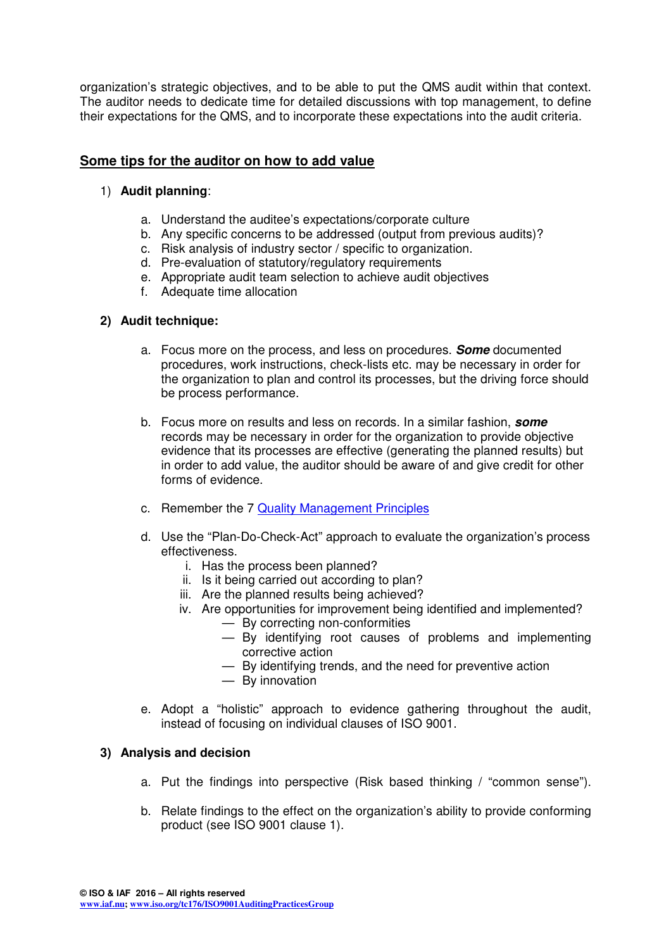organization's strategic objectives, and to be able to put the QMS audit within that context. The auditor needs to dedicate time for detailed discussions with top management, to define their expectations for the QMS, and to incorporate these expectations into the audit criteria.

# **Some tips for the auditor on how to add value**

#### 1) **Audit planning**:

- a. Understand the auditee's expectations/corporate culture
- b. Any specific concerns to be addressed (output from previous audits)?
- c. Risk analysis of industry sector / specific to organization.
- d. Pre-evaluation of statutory/regulatory requirements
- e. Appropriate audit team selection to achieve audit objectives
- f. Adequate time allocation

#### **2) Audit technique:**

- a. Focus more on the process, and less on procedures. **Some** documented procedures, work instructions, check-lists etc. may be necessary in order for the organization to plan and control its processes, but the driving force should be process performance.
- b. Focus more on results and less on records. In a similar fashion, **some** records may be necessary in order for the organization to provide objective evidence that its processes are effective (generating the planned results) but in order to add value, the auditor should be aware of and give credit for other forms of evidence.
- c. Remember the 7 Quality Management Principles
- d. Use the "Plan-Do-Check-Act" approach to evaluate the organization's process effectiveness.
	- i. Has the process been planned?
	- ii. Is it being carried out according to plan?
	- iii. Are the planned results being achieved?
	- iv. Are opportunities for improvement being identified and implemented? — By correcting non-conformities
		- By identifying root causes of problems and implementing corrective action
		- By identifying trends, and the need for preventive action
		- By innovation
- e. Adopt a "holistic" approach to evidence gathering throughout the audit, instead of focusing on individual clauses of ISO 9001.

#### **3) Analysis and decision**

- a. Put the findings into perspective (Risk based thinking / "common sense").
- b. Relate findings to the effect on the organization's ability to provide conforming product (see ISO 9001 clause 1).